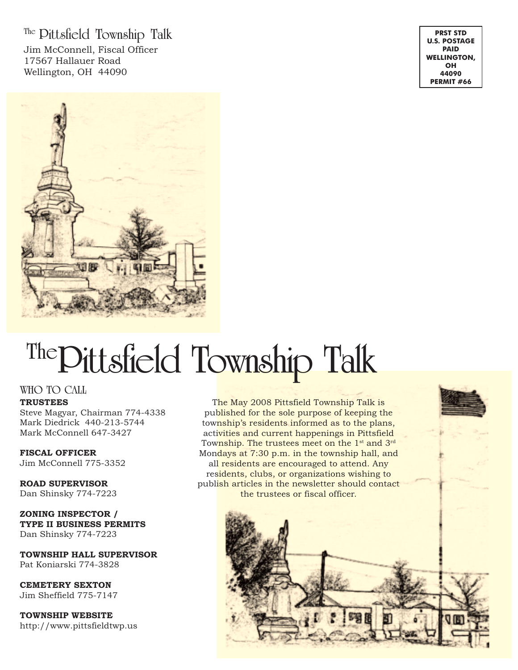**The Pittsfield Township Talk** Jim McConnell, Fiscal Officer 17567 Hallauer Road Wellington, OH 44090

**PRST STD U.S. POSTAGE PAID WELLINGTON, OH 44090 PERMIT #66**



# **ThePittsfield Township Talk**

#### **WHO TO CALL**

#### **TRUSTEES**

Steve Magyar, Chairman 774-4338 Mark Diedrick 440-213-5744 Mark McConnell 647-3427

**FISCAL OFFICER** Jim McConnell 775-3352

**ROAD SUPERVISOR** Dan Shinsky 774-7223

**ZONING INSPECTOR / TYPE II BUSINESS PERMITS** Dan Shinsky 774-7223

**TOWNSHIP HALL SUPERVISOR** Pat Koniarski 774-3828

**CEMETERY SEXTON** Jim Sheffield 775-7147

**TOWNSHIP WEBSITE** http://www.pittsfieldtwp.us

The May 2008 Pittsfield Township Talk is published for the sole purpose of keeping the township's residents informed as to the plans, activities and current happenings in Pittsfield Township. The trustees meet on the 1<sup>st</sup> and 3<sup>rd</sup> Mondays at 7:30 p.m. in the township hall, and all residents are encouraged to attend. Any residents, clubs, or organizations wishing to publish articles in the newsletter should contact the trustees or fiscal officer.

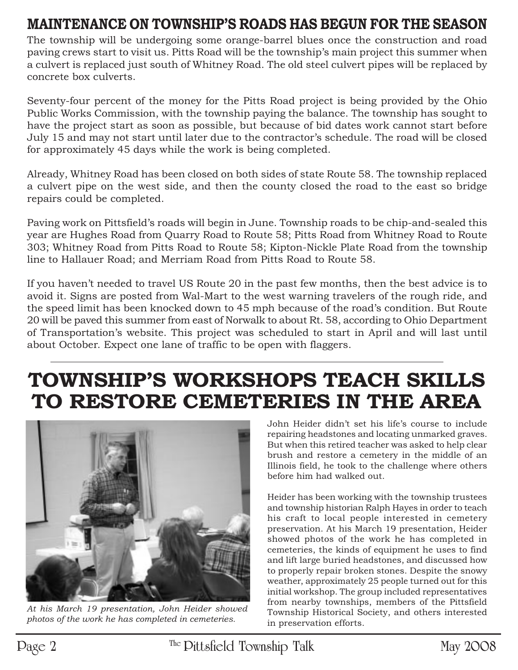## **MAINTENANCE ON TOWNSHIP'S ROADS HAS BEGUN FOR THE SEASON**

The township will be undergoing some orange-barrel blues once the construction and road paving crews start to visit us. Pitts Road will be the township's main project this summer when a culvert is replaced just south of Whitney Road. The old steel culvert pipes will be replaced by concrete box culverts.

Seventy-four percent of the money for the Pitts Road project is being provided by the Ohio Public Works Commission, with the township paying the balance. The township has sought to have the project start as soon as possible, but because of bid dates work cannot start before July 15 and may not start until later due to the contractor's schedule. The road will be closed for approximately 45 days while the work is being completed.

Already, Whitney Road has been closed on both sides of state Route 58. The township replaced a culvert pipe on the west side, and then the county closed the road to the east so bridge repairs could be completed.

Paving work on Pittsfield's roads will begin in June. Township roads to be chip-and-sealed this year are Hughes Road from Quarry Road to Route 58; Pitts Road from Whitney Road to Route 303; Whitney Road from Pitts Road to Route 58; Kipton-Nickle Plate Road from the township line to Hallauer Road; and Merriam Road from Pitts Road to Route 58.

If you haven't needed to travel US Route 20 in the past few months, then the best advice is to avoid it. Signs are posted from Wal-Mart to the west warning travelers of the rough ride, and the speed limit has been knocked down to 45 mph because of the road's condition. But Route 20 will be paved this summer from east of Norwalk to about Rt. 58, according to Ohio Department of Transportation's website. This project was scheduled to start in April and will last until about October. Expect one lane of traffic to be open with flaggers.

## **TOWNSHIP'S WORKSHOPS TEACH SKILLS TO RESTORE CEMETERIES IN THE AREA**



*At his March 19 presentation, John Heider showed photos of the work he has completed in cemeteries.*

John Heider didn't set his life's course to include repairing headstones and locating unmarked graves. But when this retired teacher was asked to help clear brush and restore a cemetery in the middle of an Illinois field, he took to the challenge where others before him had walked out.

Heider has been working with the township trustees and township historian Ralph Hayes in order to teach his craft to local people interested in cemetery preservation. At his March 19 presentation, Heider showed photos of the work he has completed in cemeteries, the kinds of equipment he uses to find and lift large buried headstones, and discussed how to properly repair broken stones. Despite the snowy weather, approximately 25 people turned out for this initial workshop. The group included representatives from nearby townships, members of the Pittsfield Township Historical Society, and others interested in preservation efforts.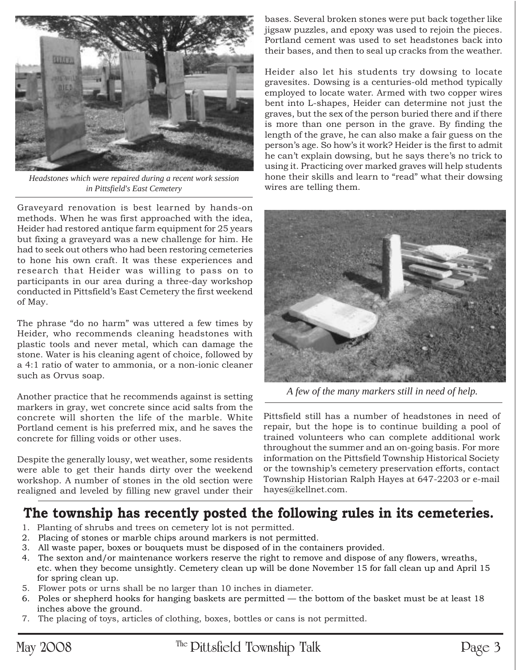

*Headstones which were repaired during a recent work session in Pittsfield's East Cemetery*

Graveyard renovation is best learned by hands-on methods. When he was first approached with the idea, Heider had restored antique farm equipment for 25 years but fixing a graveyard was a new challenge for him. He had to seek out others who had been restoring cemeteries to hone his own craft. It was these experiences and research that Heider was willing to pass on to participants in our area during a three-day workshop conducted in Pittsfield's East Cemetery the first weekend of May.

The phrase "do no harm" was uttered a few times by Heider, who recommends cleaning headstones with plastic tools and never metal, which can damage the stone. Water is his cleaning agent of choice, followed by a 4:1 ratio of water to ammonia, or a non-ionic cleaner such as Orvus soap.

Another practice that he recommends against is setting markers in gray, wet concrete since acid salts from the concrete will shorten the life of the marble. White Portland cement is his preferred mix, and he saves the concrete for filling voids or other uses.

Despite the generally lousy, wet weather, some residents were able to get their hands dirty over the weekend workshop. A number of stones in the old section were realigned and leveled by filling new gravel under their

bases. Several broken stones were put back together like jigsaw puzzles, and epoxy was used to rejoin the pieces. Portland cement was used to set headstones back into their bases, and then to seal up cracks from the weather.

Heider also let his students try dowsing to locate gravesites. Dowsing is a centuries-old method typically employed to locate water. Armed with two copper wires bent into L-shapes, Heider can determine not just the graves, but the sex of the person buried there and if there is more than one person in the grave. By finding the length of the grave, he can also make a fair guess on the person's age. So how's it work? Heider is the first to admit he can't explain dowsing, but he says there's no trick to using it. Practicing over marked graves will help students hone their skills and learn to "read" what their dowsing wires are telling them.



*A few of the many markers still in need of help.*

Pittsfield still has a number of headstones in need of repair, but the hope is to continue building a pool of trained volunteers who can complete additional work throughout the summer and an on-going basis. For more information on the Pittsfield Township Historical Society or the township's cemetery preservation efforts, contact Township Historian Ralph Hayes at 647-2203 or e-mail hayes@kellnet.com.

#### **The township has recently posted the following rules in its cemeteries.**

- 1. Planting of shrubs and trees on cemetery lot is not permitted.
- 2. Placing of stones or marble chips around markers is not permitted.
- 3. All waste paper, boxes or bouquets must be disposed of in the containers provided.
- 4. The sexton and/or maintenance workers reserve the right to remove and dispose of any flowers, wreaths, etc. when they become unsightly. Cemetery clean up will be done November 15 for fall clean up and April 15 for spring clean up.
- 5. Flower pots or urns shall be no larger than 10 inches in diameter.
- 6. Poles or shepherd hooks for hanging baskets are permitted the bottom of the basket must be at least 18 inches above the ground.
- 7. The placing of toys, articles of clothing, boxes, bottles or cans is not permitted.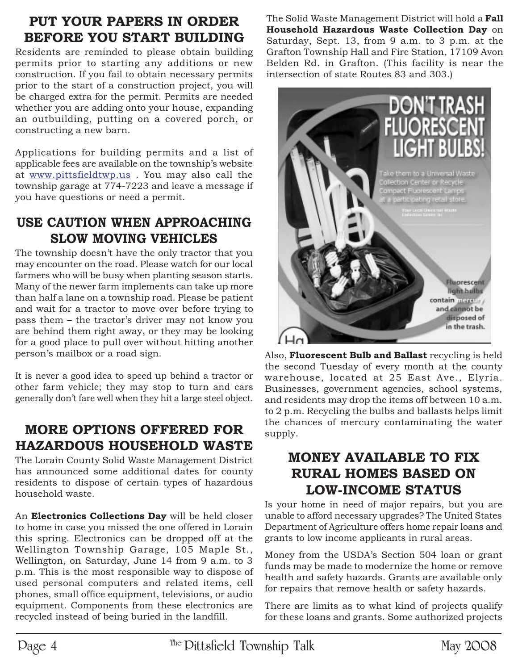### **PUT YOUR PAPERS IN ORDER BEFORE YOU START BUILDING**

Residents are reminded to please obtain building permits prior to starting any additions or new construction. If you fail to obtain necessary permits prior to the start of a construction project, you will be charged extra for the permit. Permits are needed whether you are adding onto your house, expanding an outbuilding, putting on a covered porch, or constructing a new barn.

Applications for building permits and a list of applicable fees are available on the township's website at www.pittsfieldtwp.us . You may also call the township garage at 774-7223 and leave a message if you have questions or need a permit.

#### **USE CAUTION WHEN APPROACHING SLOW MOVING VEHICLES**

The township doesn't have the only tractor that you may encounter on the road. Please watch for our local farmers who will be busy when planting season starts. Many of the newer farm implements can take up more than half a lane on a township road. Please be patient and wait for a tractor to move over before trying to pass them – the tractor's driver may not know you are behind them right away, or they may be looking for a good place to pull over without hitting another person's mailbox or a road sign.

It is never a good idea to speed up behind a tractor or other farm vehicle; they may stop to turn and cars generally don't fare well when they hit a large steel object.

### **MORE OPTIONS OFFERED FOR HAZARDOUS HOUSEHOLD WASTE**

The Lorain County Solid Waste Management District has announced some additional dates for county residents to dispose of certain types of hazardous household waste.

An **Electronics Collections Day** will be held closer to home in case you missed the one offered in Lorain this spring. Electronics can be dropped off at the Wellington Township Garage, 105 Maple St., Wellington, on Saturday, June 14 from 9 a.m. to 3 p.m. This is the most responsible way to dispose of used personal computers and related items, cell phones, small office equipment, televisions, or audio equipment. Components from these electronics are recycled instead of being buried in the landfill.

The Solid Waste Management District will hold a **Fall Household Hazardous Waste Collection Day** on Saturday, Sept. 13, from 9 a.m. to 3 p.m. at the Grafton Township Hall and Fire Station, 17109 Avon Belden Rd. in Grafton. (This facility is near the intersection of state Routes 83 and 303.)



Also, **Fluorescent Bulb and Ballast** recycling is held the second Tuesday of every month at the county warehouse, located at 25 East Ave., Elyria. Businesses, government agencies, school systems, and residents may drop the items off between 10 a.m. to 2 p.m. Recycling the bulbs and ballasts helps limit the chances of mercury contaminating the water supply.

#### **MONEY AVAILABLE TO FIX RURAL HOMES BASED ON LOW-INCOME STATUS**

Is your home in need of major repairs, but you are unable to afford necessary upgrades? The United States Department of Agriculture offers home repair loans and grants to low income applicants in rural areas.

Money from the USDA's Section 504 loan or grant funds may be made to modernize the home or remove health and safety hazards. Grants are available only for repairs that remove health or safety hazards.

There are limits as to what kind of projects qualify for these loans and grants. Some authorized projects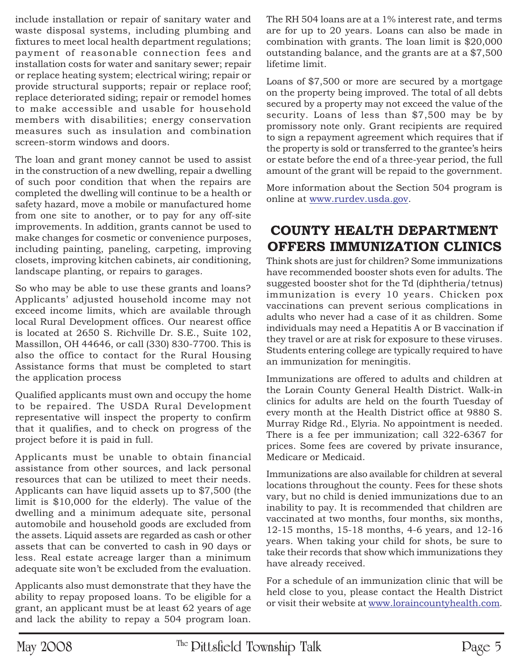include installation or repair of sanitary water and waste disposal systems, including plumbing and fixtures to meet local health department regulations; payment of reasonable connection fees and installation costs for water and sanitary sewer; repair or replace heating system; electrical wiring; repair or provide structural supports; repair or replace roof; replace deteriorated siding; repair or remodel homes to make accessible and usable for household members with disabilities; energy conservation measures such as insulation and combination screen-storm windows and doors.

The loan and grant money cannot be used to assist in the construction of a new dwelling, repair a dwelling of such poor condition that when the repairs are completed the dwelling will continue to be a health or safety hazard, move a mobile or manufactured home from one site to another, or to pay for any off-site improvements. In addition, grants cannot be used to make changes for cosmetic or convenience purposes, including painting, paneling, carpeting, improving closets, improving kitchen cabinets, air conditioning, landscape planting, or repairs to garages.

So who may be able to use these grants and loans? Applicants' adjusted household income may not exceed income limits, which are available through local Rural Development offices. Our nearest office is located at 2650 S. Richville Dr. S.E., Suite 102, Massillon, OH 44646, or call (330) 830-7700. This is also the office to contact for the Rural Housing Assistance forms that must be completed to start the application process

Qualified applicants must own and occupy the home to be repaired. The USDA Rural Development representative will inspect the property to confirm that it qualifies, and to check on progress of the project before it is paid in full.

Applicants must be unable to obtain financial assistance from other sources, and lack personal resources that can be utilized to meet their needs. Applicants can have liquid assets up to \$7,500 (the limit is \$10,000 for the elderly). The value of the dwelling and a minimum adequate site, personal automobile and household goods are excluded from the assets. Liquid assets are regarded as cash or other assets that can be converted to cash in 90 days or less. Real estate acreage larger than a minimum adequate site won't be excluded from the evaluation.

Applicants also must demonstrate that they have the ability to repay proposed loans. To be eligible for a grant, an applicant must be at least 62 years of age and lack the ability to repay a 504 program loan.

The RH 504 loans are at a 1% interest rate, and terms are for up to 20 years. Loans can also be made in combination with grants. The loan limit is \$20,000 outstanding balance, and the grants are at a \$7,500 lifetime limit.

Loans of \$7,500 or more are secured by a mortgage on the property being improved. The total of all debts secured by a property may not exceed the value of the security. Loans of less than \$7,500 may be by promissory note only. Grant recipients are required to sign a repayment agreement which requires that if the property is sold or transferred to the grantee's heirs or estate before the end of a three-year period, the full amount of the grant will be repaid to the government.

More information about the Section 504 program is online at www.rurdev.usda.gov.

#### **COUNTY HEALTH DEPARTMENT OFFERS IMMUNIZATION CLINICS**

Think shots are just for children? Some immunizations have recommended booster shots even for adults. The suggested booster shot for the Td (diphtheria/tetnus) immunization is every 10 years. Chicken pox vaccinations can prevent serious complications in adults who never had a case of it as children. Some individuals may need a Hepatitis A or B vaccination if they travel or are at risk for exposure to these viruses. Students entering college are typically required to have an immunization for meningitis.

Immunizations are offered to adults and children at the Lorain County General Health District. Walk-in clinics for adults are held on the fourth Tuesday of every month at the Health District office at 9880 S. Murray Ridge Rd., Elyria. No appointment is needed. There is a fee per immunization; call 322-6367 for prices. Some fees are covered by private insurance, Medicare or Medicaid.

Immunizations are also available for children at several locations throughout the county. Fees for these shots vary, but no child is denied immunizations due to an inability to pay. It is recommended that children are vaccinated at two months, four months, six months, 12-15 months, 15-18 months, 4-6 years, and 12-16 years. When taking your child for shots, be sure to take their records that show which immunizations they have already received.

For a schedule of an immunization clinic that will be held close to you, please contact the Health District or visit their website at www.loraincountyhealth.com.